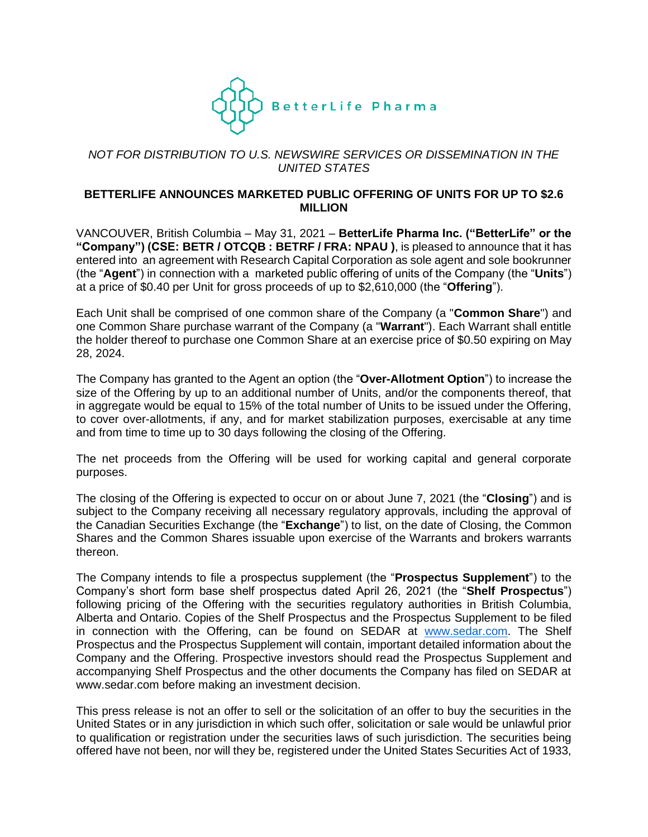

# *NOT FOR DISTRIBUTION TO U.S. NEWSWIRE SERVICES OR DISSEMINATION IN THE UNITED STATES*

### **BETTERLIFE ANNOUNCES MARKETED PUBLIC OFFERING OF UNITS FOR UP TO \$2.6 MILLION**

VANCOUVER, British Columbia – May 31, 2021 – **BetterLife Pharma Inc. ("BetterLife" or the "Company") (CSE: BETR / OTCQB : BETRF / FRA: NPAU )**, is pleased to announce that it has entered into an agreement with Research Capital Corporation as sole agent and sole bookrunner (the "**Agent**") in connection with a marketed public offering of units of the Company (the "**Units**") at a price of \$0.40 per Unit for gross proceeds of up to \$2,610,000 (the "**Offering**").

Each Unit shall be comprised of one common share of the Company (a "**Common Share**") and one Common Share purchase warrant of the Company (a "**Warrant**"). Each Warrant shall entitle the holder thereof to purchase one Common Share at an exercise price of \$0.50 expiring on May 28, 2024.

The Company has granted to the Agent an option (the "**Over-Allotment Option**") to increase the size of the Offering by up to an additional number of Units, and/or the components thereof, that in aggregate would be equal to 15% of the total number of Units to be issued under the Offering, to cover over-allotments, if any, and for market stabilization purposes, exercisable at any time and from time to time up to 30 days following the closing of the Offering.

The net proceeds from the Offering will be used for working capital and general corporate purposes.

The closing of the Offering is expected to occur on or about June 7, 2021 (the "**Closing**") and is subject to the Company receiving all necessary regulatory approvals, including the approval of the Canadian Securities Exchange (the "**Exchange**") to list, on the date of Closing, the Common Shares and the Common Shares issuable upon exercise of the Warrants and brokers warrants thereon.

The Company intends to file a prospectus supplement (the "**Prospectus Supplement**") to the Company's short form base shelf prospectus dated April 26, 2021 (the "**Shelf Prospectus**") following pricing of the Offering with the securities regulatory authorities in British Columbia, Alberta and Ontario. Copies of the Shelf Prospectus and the Prospectus Supplement to be filed in connection with the Offering, can be found on SEDAR at [www.sedar.com.](http://www.sedar.com/) The Shelf Prospectus and the Prospectus Supplement will contain, important detailed information about the Company and the Offering. Prospective investors should read the Prospectus Supplement and accompanying Shelf Prospectus and the other documents the Company has filed on SEDAR at www.sedar.com before making an investment decision.

This press release is not an offer to sell or the solicitation of an offer to buy the securities in the United States or in any jurisdiction in which such offer, solicitation or sale would be unlawful prior to qualification or registration under the securities laws of such jurisdiction. The securities being offered have not been, nor will they be, registered under the United States Securities Act of 1933,